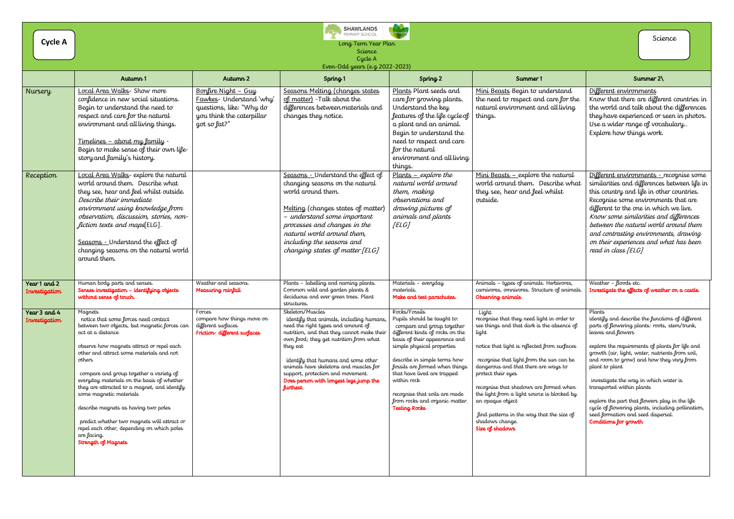| Cycle A                       | <b>SHAWLANDS</b><br>t (kr<br>PRIMARY SCHOOL<br>Science<br>Long Term Year Plan<br>Science<br>Cycle A<br>Even-Odd years (e.g. 2022-2023)                                                                                                                                                                                                                                                                                                                                                                                                                                 |                                                                                                                          |                                                                                                                                                                                                                                                                                                                                                                                           |                                                                                                                                                                                                                                                                                                                                                                                         |                                                                                                                                                                                                                                                                                                                                                                                                                                                                      |                                                                                                                                                                                                                                                                                                                                                                                                                                                                                                                                                   |
|-------------------------------|------------------------------------------------------------------------------------------------------------------------------------------------------------------------------------------------------------------------------------------------------------------------------------------------------------------------------------------------------------------------------------------------------------------------------------------------------------------------------------------------------------------------------------------------------------------------|--------------------------------------------------------------------------------------------------------------------------|-------------------------------------------------------------------------------------------------------------------------------------------------------------------------------------------------------------------------------------------------------------------------------------------------------------------------------------------------------------------------------------------|-----------------------------------------------------------------------------------------------------------------------------------------------------------------------------------------------------------------------------------------------------------------------------------------------------------------------------------------------------------------------------------------|----------------------------------------------------------------------------------------------------------------------------------------------------------------------------------------------------------------------------------------------------------------------------------------------------------------------------------------------------------------------------------------------------------------------------------------------------------------------|---------------------------------------------------------------------------------------------------------------------------------------------------------------------------------------------------------------------------------------------------------------------------------------------------------------------------------------------------------------------------------------------------------------------------------------------------------------------------------------------------------------------------------------------------|
|                               | Autumn 1                                                                                                                                                                                                                                                                                                                                                                                                                                                                                                                                                               | Autumn 2                                                                                                                 | Spring 1                                                                                                                                                                                                                                                                                                                                                                                  | Spring <sub>2</sub>                                                                                                                                                                                                                                                                                                                                                                     | Summer 1                                                                                                                                                                                                                                                                                                                                                                                                                                                             | Summer $2\$                                                                                                                                                                                                                                                                                                                                                                                                                                                                                                                                       |
| Nursery                       | Local Area Walks- Show more<br>confidence in new social situations.<br>Begin to understand the need to<br>respect and care for the natural<br>environment and all living things.<br><u> Timelines – about my family - </u><br>Begin to make sense of their own life-<br>story and family's history.                                                                                                                                                                                                                                                                    | Bonfire Night - Guy<br>Fawkes- Understand 'why'<br>questions, like: "Why do<br>you think the caterpillar<br>got so fat?" | Seasons Melting (changes states<br>of matter) - Talk about the<br>differences between materials and<br>changes they notice.                                                                                                                                                                                                                                                               | Plants Plant seeds and<br>care for growing plants.<br>Understand the key<br>features of the life cycle of  <br>a plant and an animal.<br>Begin to understand the<br>need to respect and care<br>for the natural<br>environment and all living<br>things.                                                                                                                                | Mini Beasts Begin to understand<br>the need to respect and care for the<br>natural environment and all living<br>things.                                                                                                                                                                                                                                                                                                                                             | Different environments<br>Know that there are different countries in<br>the world and talk about the differences<br>they have experienced or seen in photos.<br>Use a wider range of vocabulary<br>Explore how things work.                                                                                                                                                                                                                                                                                                                       |
| Reception                     | Local Area Walks- explore the natural<br>world around them. Describe what<br>they see, hear and feel whilst outside.<br>Describe their immediate<br>environment using knowledge from<br>observation, discussion, stories, non-<br>fiction texts and maps[ELG].<br>Seasons - Understand the effect of<br>changing seasons on the natural world<br>around them.                                                                                                                                                                                                          |                                                                                                                          | Seasons - Understand the effect of<br>changing seasons on the natural<br>world around them.<br>Melting (changes states of matter)<br>- understand some important<br>processes and changes in the<br>natural world around them,<br>including the seasons and<br>changing states of matter [ELG]                                                                                            | $Plants - explore the$<br>natural world around<br>them, making<br>observations and<br>drawing pictures of<br>animals and plants<br>[ELG]                                                                                                                                                                                                                                                | Mini Beasts - explore the natural<br>world around them. Describe what<br>they see, hear and feel whilst<br>outside.                                                                                                                                                                                                                                                                                                                                                  | Different environments - recognise some<br>similarities and differences between life in<br>this country and life in other countries.<br>Recognise some environments that are<br>different to the one in which we live.<br>Know some similarities and differences<br>between the natural world around them<br>and contrasting environments, drawing<br>on their experiences and what has been<br>read in class [ELG]                                                                                                                               |
| Year 1 and 2<br>Investigation | Human body parts and senses.<br>Senses investigation - identifying objects<br>without sense of touch.                                                                                                                                                                                                                                                                                                                                                                                                                                                                  | Weather and seasons.<br>Measuring rainfall                                                                               | Plants - labelling and naming plants.<br>Common wild and garden plants &<br>deciduous and ever green trees. Plant<br>structures.                                                                                                                                                                                                                                                          | Materials - everyday<br>materials.<br>Make and test parachutes.                                                                                                                                                                                                                                                                                                                         | Animals - types of animals. Herbivores,<br>carnivores, omnivores. Structure of animals.<br>Observing animals                                                                                                                                                                                                                                                                                                                                                         | Weather - floods etc.<br>Investigate the effects of weather on a castle.                                                                                                                                                                                                                                                                                                                                                                                                                                                                          |
| Year 3 and 4<br>Investigation | Magnets<br>notice that some forces need contact<br>between two objects, but magnetic forces can<br>act at a distance<br>observe how magnets attract or repel each<br>other and attract some materials and not<br>others<br>compare and group together a variety of<br>everyday materials on the basis of whether<br>they are attracted to a magnet, and identify<br>some magnetic materials<br>describe magnets as having two poles<br>predict whether two magnets will attract or<br>repel each other, depending on which poles<br>are facing.<br>Strength of Magnets | Forces<br>compare how things move on<br>different surfaces<br>Friction-different surfaces                                | Skeleton/Muscles<br>identify that animals, including humans,<br>need the right types and amount of<br>nutrition, and that they cannot make their<br>own food; they get nutrition from what<br>they eat<br>identify that humans and some other<br>animals have skeletons and muscles for<br>support, protection and movement.<br>Does person with longest legs jump the<br><b>furthest</b> | Rocks/Fossils<br>Pupils should be taught to:<br>compare and group together<br>different kinds of rocks on the<br>basis of their appearance and<br>simple physical properties<br>describe in simple terms how<br>fossils are formed when things<br>that have lived are trapped<br>within rock<br>recognise that soils are made<br>from rocks and organic matter.<br><b>Testing Rocks</b> | Light<br>recognise that they need light in order to<br>see things and that dark is the absence of<br>light<br>notice that light is reflected from surfaces<br>recognise that light from the sun can be<br>dangerous and that there are ways to<br>protect their eyes<br>recognise that shadows are formed when<br>the light from a light source is blocked by<br>an opaque object<br>find patterns in the way that the size of<br>shadows change.<br>Size of shadows | Plants<br>identify and describe the functions of different<br>parts of flowering plants: roots, stem/trunk,<br>leaves and flowers<br>explore the requirements of plants for life and<br>growth (air, light, water, nutrients from soil,<br>and room to grow) and how they vary from<br>plant to plant<br>investigate the way in which water is<br>transported within plants<br>explore the part that flowers play in the life<br>cycle of flowering plants, including pollination,<br>seed formation and seed dispersal.<br>Conditions for growth |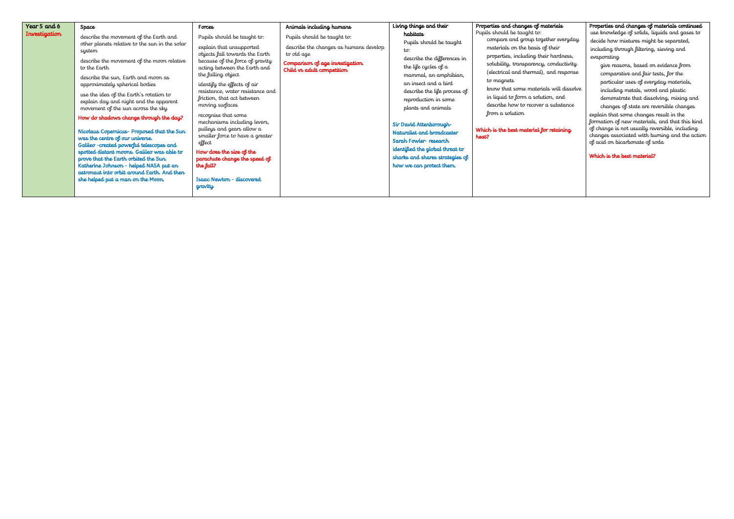| Year 5 and 6  | Space                                                                                                                                                                                                                                                                                                                                                                                                                                                                                                                                                                                                                                                                                                                                                             | Forces                                                                                                                                                                                                                                                                                                                                                                                                                                                                                                                                                    | Animals including humans                                                                                                                              | Living things and their                                                                                                                                                                                                                                                                                                                                                                                              | Properties and changes of materials                                                                                                                                                                                                                                                                                                                                                                                                            | Properties and changes of materials continued                                                                                                                                                                                                                                                                                                                                                                                                                                                                                                                                                                                                                              |
|---------------|-------------------------------------------------------------------------------------------------------------------------------------------------------------------------------------------------------------------------------------------------------------------------------------------------------------------------------------------------------------------------------------------------------------------------------------------------------------------------------------------------------------------------------------------------------------------------------------------------------------------------------------------------------------------------------------------------------------------------------------------------------------------|-----------------------------------------------------------------------------------------------------------------------------------------------------------------------------------------------------------------------------------------------------------------------------------------------------------------------------------------------------------------------------------------------------------------------------------------------------------------------------------------------------------------------------------------------------------|-------------------------------------------------------------------------------------------------------------------------------------------------------|----------------------------------------------------------------------------------------------------------------------------------------------------------------------------------------------------------------------------------------------------------------------------------------------------------------------------------------------------------------------------------------------------------------------|------------------------------------------------------------------------------------------------------------------------------------------------------------------------------------------------------------------------------------------------------------------------------------------------------------------------------------------------------------------------------------------------------------------------------------------------|----------------------------------------------------------------------------------------------------------------------------------------------------------------------------------------------------------------------------------------------------------------------------------------------------------------------------------------------------------------------------------------------------------------------------------------------------------------------------------------------------------------------------------------------------------------------------------------------------------------------------------------------------------------------------|
| Investigation | describe the movement of the Earth and<br>other planets relative to the sun in the solar<br>system<br>describe the movement of the moon relative<br>to the Earth<br>describe the sun, Earth and moon as<br>approximately spherical bodies<br>use the idea of the Earth's rotation to<br>explain day and night and the apparent<br>movement of the sun across the sky<br>How do shadows change through the day?<br>Nicolaus Copernicus- Proposed that the Sun<br>was the centre of our universe.<br>Galileo - created powerful telescopes and<br>spotted distant moons. Galileo was able to<br>prove that the Earth orbited the Sun.<br>Katherine Johnson - helped NASA put an<br>astronaut into orbit around Earth. And then<br>she helped put a man on the Moon. | Pupils should be taught to:<br>explain that unsupported<br>objects fall towards the Earth<br>because of the force of gravity<br>acting between the Earth and<br>the falling object<br>identify the effects of air<br>resistance, water resistance and<br>friction, that act between<br>moving surfaces<br>recognise that some<br>mechanisms including levers,<br>pulleys and gears allow a<br>smaller force to have a greater<br>effect<br>How does the size of the<br>parachute change the speed of<br>the fall?<br>Isaac Newton - discovered<br>gravity | Pupils should be taught to:<br>describe the changes as humans develop<br>to old age<br>Comparison of age investigation.<br>Child vs adult competition | habitats<br>Pupils should be taught<br>to:<br>describe the differences in<br>the life cycles of a<br>mammal, an amphibian,<br>an insect and a bird<br>describe the life process of<br>reproduction in some<br>plants and animals<br>Sir David Attenborough-<br>Naturalist and broadcaster<br>Sarah Fowler-research<br>identified the global threat to<br>sharks and shares strategies of<br>how we can protect them. | Pupils should be taught to:<br>compare and group together everyday<br>materials on the basis of their<br>properties, including their hardness,<br>solubility, transparency, conductivity<br>(electrical and thermal), and response<br>to magnets<br>know that some materials will dissolve<br>in liquid to form a solution, and<br>describe how to recover a substance<br>from a solution<br>Which is the best material for retaining<br>heat? | use knowledge of solids, liquids and gases to<br>decide how mixtures might be separated,<br>including through filtering, sieving and<br>evaporating<br>give reasons, based on evidence from<br>comparative and fair tests, for the<br>particular uses of everyday materials,<br>including metals, wood and plastic<br>demonstrate that dissolving, mixing and<br>changes of state are reversible changes<br>explain that some changes result in the<br>formation of new materials, and that this kind<br>of change is not usually reversible, including<br>changes associated with burning and the action<br>of acid on bicarbonate of soda<br>Which is the best material? |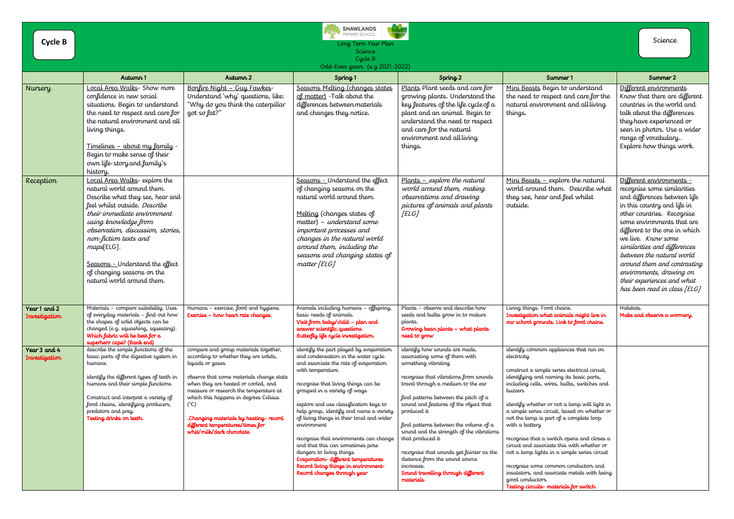|                               | <b>SHAWLANDS</b><br>PRIMARY SCHOOL                                                                                                                                                                                                                                                                                                                                |                                                                                                                                                                                                                                                                                                                                                                                                    |                                                                                                                                                                                                                                                                                                                                                                                                                                                                                                                                                                                              |                                                                                                                                                                                                                                                                                                                                                                                                                                                                                                                                  |                                                                                                                                                                                                                                                                                                                                                                                                                                                                                                                                                                                                                                                                           |                                                                                                                                                                                                                                                                                                                                                                                                                                 |  |
|-------------------------------|-------------------------------------------------------------------------------------------------------------------------------------------------------------------------------------------------------------------------------------------------------------------------------------------------------------------------------------------------------------------|----------------------------------------------------------------------------------------------------------------------------------------------------------------------------------------------------------------------------------------------------------------------------------------------------------------------------------------------------------------------------------------------------|----------------------------------------------------------------------------------------------------------------------------------------------------------------------------------------------------------------------------------------------------------------------------------------------------------------------------------------------------------------------------------------------------------------------------------------------------------------------------------------------------------------------------------------------------------------------------------------------|----------------------------------------------------------------------------------------------------------------------------------------------------------------------------------------------------------------------------------------------------------------------------------------------------------------------------------------------------------------------------------------------------------------------------------------------------------------------------------------------------------------------------------|---------------------------------------------------------------------------------------------------------------------------------------------------------------------------------------------------------------------------------------------------------------------------------------------------------------------------------------------------------------------------------------------------------------------------------------------------------------------------------------------------------------------------------------------------------------------------------------------------------------------------------------------------------------------------|---------------------------------------------------------------------------------------------------------------------------------------------------------------------------------------------------------------------------------------------------------------------------------------------------------------------------------------------------------------------------------------------------------------------------------|--|
| <b>Cycle B</b>                | Long Term Year Plan                                                                                                                                                                                                                                                                                                                                               |                                                                                                                                                                                                                                                                                                                                                                                                    |                                                                                                                                                                                                                                                                                                                                                                                                                                                                                                                                                                                              |                                                                                                                                                                                                                                                                                                                                                                                                                                                                                                                                  |                                                                                                                                                                                                                                                                                                                                                                                                                                                                                                                                                                                                                                                                           |                                                                                                                                                                                                                                                                                                                                                                                                                                 |  |
|                               | Science<br>Cycle B                                                                                                                                                                                                                                                                                                                                                |                                                                                                                                                                                                                                                                                                                                                                                                    |                                                                                                                                                                                                                                                                                                                                                                                                                                                                                                                                                                                              |                                                                                                                                                                                                                                                                                                                                                                                                                                                                                                                                  |                                                                                                                                                                                                                                                                                                                                                                                                                                                                                                                                                                                                                                                                           |                                                                                                                                                                                                                                                                                                                                                                                                                                 |  |
|                               | Odd-Even years (e.g. 2021-2022)                                                                                                                                                                                                                                                                                                                                   |                                                                                                                                                                                                                                                                                                                                                                                                    |                                                                                                                                                                                                                                                                                                                                                                                                                                                                                                                                                                                              |                                                                                                                                                                                                                                                                                                                                                                                                                                                                                                                                  |                                                                                                                                                                                                                                                                                                                                                                                                                                                                                                                                                                                                                                                                           |                                                                                                                                                                                                                                                                                                                                                                                                                                 |  |
|                               | Autumn 1                                                                                                                                                                                                                                                                                                                                                          | Autumn 2                                                                                                                                                                                                                                                                                                                                                                                           | Spring <sub>1</sub>                                                                                                                                                                                                                                                                                                                                                                                                                                                                                                                                                                          | Spring <sub>2</sub>                                                                                                                                                                                                                                                                                                                                                                                                                                                                                                              | Summer 1                                                                                                                                                                                                                                                                                                                                                                                                                                                                                                                                                                                                                                                                  | Summer 2                                                                                                                                                                                                                                                                                                                                                                                                                        |  |
| Nursery                       | Local Area Walks- Show more<br>confidence in new social<br>situations. Begin to understand<br>the need to respect and care for<br>the natural environment and all<br>living things.<br><u> Timelines – about my family -</u><br>Begin to make sense of their<br>own life-story and family's<br>history.                                                           | Bonfire Night - Guy Fawkes<br>Understand 'why' questions, like:<br>"Why do you think the caterpillar<br>got so fat?"                                                                                                                                                                                                                                                                               | Seasons Melting (changes states<br>of matter) - Talk about the<br>differences between materials<br>and changes they notice.                                                                                                                                                                                                                                                                                                                                                                                                                                                                  | Plants Plant seeds and care for<br>growing plants. Understand the<br>key features of the life cycle of a<br>plant and an animal. Begin to<br>understand the need to respect<br>and care for the natural<br>environment and all living<br>things.                                                                                                                                                                                                                                                                                 | Mini Beasts Begin to understand<br>the need to respect and care for the<br>natural environment and all living<br>things.                                                                                                                                                                                                                                                                                                                                                                                                                                                                                                                                                  | Different environments<br>Know that there are different<br>countries in the world and<br>talk about the differences<br>they have experienced or<br>seen in photos. Use a wider<br>range of vocabulary<br>Explore how things work.                                                                                                                                                                                               |  |
| Reception                     | Local Area Walks-explore the<br>natural world around them.<br>Describe what they see, hear and<br>feel whilst outside. Describe<br>their immediate environment<br>using knowledge from<br>observation, discussion, stories,<br>non-fiction texts and<br>maps[ELG].<br>Seasons - Understand the effect<br>of changing seasons on the<br>natural world around them. |                                                                                                                                                                                                                                                                                                                                                                                                    | Seasons - Understand the effect<br>of changing seasons on the<br>natural world around them.<br>Melting (changes states of<br>matter) - understand some<br>important processes and<br>changes in the natural world<br>around them, including the<br>seasons and changing states of<br>matter [ELG]                                                                                                                                                                                                                                                                                            | $Plants - explore the natural$<br>world around them, making<br>observations and drawing<br>pictures of animals and plants<br>[ELG]                                                                                                                                                                                                                                                                                                                                                                                               | Mini Beasts $-$ explore the natural<br>world around them. Describe what<br>they see, hear and feel whilst<br>outside.                                                                                                                                                                                                                                                                                                                                                                                                                                                                                                                                                     | Different environments -<br>recognise some similarities<br>and differences between life<br>in this country and life in<br>other countries. Recognise<br>some environments that are<br>different to the one in which<br>we live. Know some<br>similarities and differences<br>between the natural world<br>around them and contrasting<br>environments, drawing on<br>their experiences and what<br>has been read in class [ELG] |  |
| Year 1 and 2<br>Investigation | Materials - compare suitability. Uses<br>of everyday materials - find out how<br>the shapes of solid objects can be<br>changed (e.g. squashing, squeezing).<br>Which fabric will be best for a<br>superhero cape? (Bank end)                                                                                                                                      | Humans - exercise, food and hygiene.<br>Exercise - how heart rate changes.                                                                                                                                                                                                                                                                                                                         | Animals including humans - offspring,<br>basic needs of animals.<br>Visit from baby/child - plan and<br>answer scientific questions<br>Butterfly life cycle investigation.                                                                                                                                                                                                                                                                                                                                                                                                                   | Plants - observe and describe how<br>seeds and bulbs grow in to mature<br>plants.<br>Growing bean plants - what plants<br>need to grow                                                                                                                                                                                                                                                                                                                                                                                           | Living things. Food chains.<br>Investigation what animals might live in<br>our school grounds. Link to food chains.                                                                                                                                                                                                                                                                                                                                                                                                                                                                                                                                                       | Habitats.<br>Make and observe a wormery.                                                                                                                                                                                                                                                                                                                                                                                        |  |
| Year 3 and 4<br>Investigation | describe the simple functions of the<br>basic parts of the digestive system in<br>humans<br>identify the different types of teeth in<br>humans and their simple functions<br>Construct and interpret a variety of<br>food chains, identifying producers,<br>predators and prey.<br>Testing drinks on teeth.                                                       | compare and group materials together,<br>according to whether they are solids,<br>liquids or gases<br>observe that some materials change state<br>when they are heated or cooled, and<br>measure or research the temperature at<br>which this happens in degrees Celsius<br>$(^{\circ}C)$<br>.Changing materials by heating-record<br>different temperatures/times for<br>whit/milk/dark chocolate | identify the part played by evaporation<br>and condensation in the water cycle<br>and associate the rate of evaporation<br>with temperature.<br>recognise that living things can be<br>grouped in a variety of ways<br>explore and use classification keys to<br>help group, identify and name a variety<br>of living things in their local and wider<br>environment<br>recognise that environments can change<br>and that this can sometimes pose<br>dangers to living things.<br>Evaporation-different temperatures<br>Record living things in environment-<br>Record changes through year | identify how sounds are made,<br>associating some of them with<br>something vibrating<br>recognise that vibrations from sounds<br>travel through a medium to the ear<br>find patterns between the pitch of $a$<br>sound and features of the object that<br>produced it<br>find patterns between the volume of $a$<br>sound and the strength of the vibrations<br>that produced it<br>recognise that sounds get fainter as the<br>distance from the sound source<br>increases.<br>Sound travelling through different<br>materials | identify common appliances that run on<br>electricity<br>construct a simple series electrical circuit,<br>identifying and naming its basic parts,<br>including cells, wires, bulbs, switches and<br>buzzers<br>identify whether or not a lamp will light in<br>a simple series circuit, based on whether or<br>not the lamp is part of a complete loop<br>with a battery<br>recognise that a switch opens and closes a<br>circuit and associate this with whether or<br>not a lamp lights in a simple series circuit<br>recognise some common conductors and<br>insulators, and associate metals with being<br>good conductors.<br>Testing circuits- materials for switch |                                                                                                                                                                                                                                                                                                                                                                                                                                 |  |